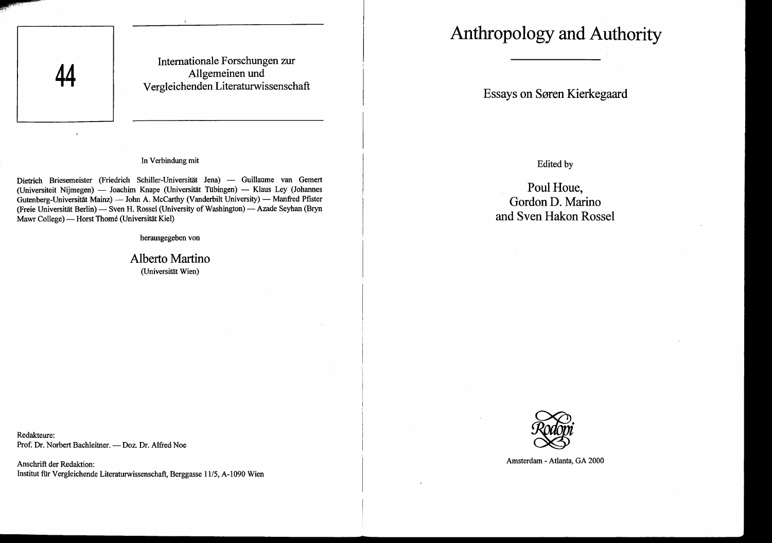

Intemationale Forschungen zur Allgemeinen und Vergleichenden Literaturwissenschaft

## In Verbindung mit

Dietrich Briesemeister (Friedrich Schiller-Universität Jena) - Guillaume van Gemert (Universiteit Nijmegen) — Joachim Knape (Universität Tübingen) — Klaus Ley (Johannes Gutenberg-Universität Mainz) - John A. McCarthy (Vanderbilt University) - Manfred Pfister (Freie Universität Berlin) - Sven H. Rossel (University of Washington) - Azade Seyhan (Bryn Mawr College) — Horst Thomé (Universität Kiel)

herausgegeben von

Alberto Martino (Universitat Wien)

Redakteure: Prof. Dr. Norbert Bachleitner. - Doz. Dr. Alfred Noe

Anschrift der Redaktion: Institut für Vergleichende Literaturwissenschaft, Berggasse 11/5, A-1090 Wien

# **Anthropology and Authority**

Essays on Søren Kierkegaard

Edited by

Poul Houe, Gordon D. Marino and Sven Hakon Rossel



Amsterdam - Atlanta, GA 2000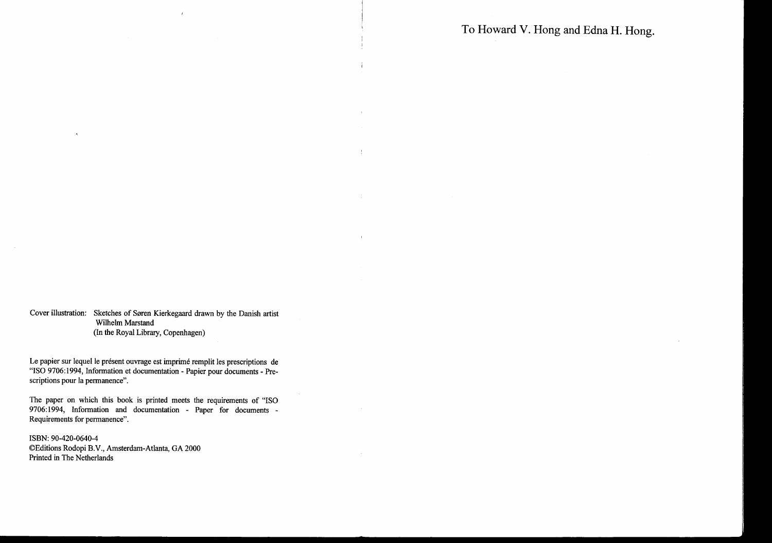To Howard V. Hong and Edna H. Hong.

 $\sim$ 

Cover illustration: Sketches of Søren Kierkegaard drawn by the Danish artist Wilhelm Marstand (In the Royal Library, Copenhagen)

 $\ell$ 

 $\pm$ 

 $\sim 10$ 

 $\pm$ 

 $\sim$ 

Le papier sur lequel le présent ouvrage est imprimé remplit les prescriptions de "ISO 9706:1994, Information et documentation - Papier pour documents - Prescriptions pour la permanence".

The paper on which this book is printed meets the requirements of "ISO 9706:1994, Information and documentation - Paper for documents - Requirements for permanence".

ISBN: 90-420-0640-4 ©Editions Rodopi B.V., Amsterdam-Atlanta, GA 2000 Printed in The Netherlands

 $\mathcal{A}$ 

 $\sim$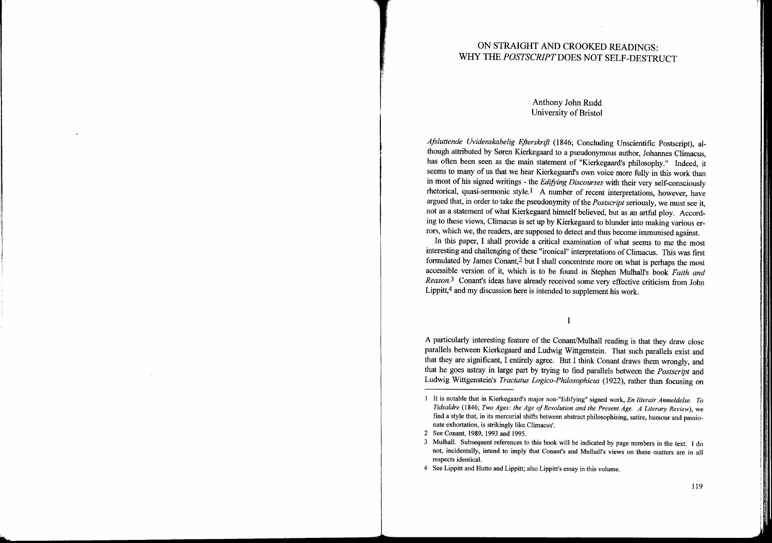# ON STRAIGHT AND CROOKED READINGS: WHY THE *POSTSCRIPT* DOES NOT SELF-DESTRUCT

# Anthony John Rudd University of Bristol

*Aftluttende Uvidenskabelig Eftersh-ift* (1846; Concluding Unscientific Postscript), although attributed by Søren Kierkegaard to a pseudonymous author, Johannes Climacus, has often been seen as the main statement of "Kierkegaard's philosophy." Indeed, it seems to many of us that we hear Kierkegaard's own voice more fully in this work than in most of his signed writings - the *Edifying Discourses* with their very self-consciously rhetorical, quasi-sermonic style. I A number of recent interpretations, however, have argued that, in order to take the pseudonymity of the *Postscript* seriously, we must see it, not as a statement of what Kierkegaard himself believed, but as an artful ploy. According to these views, Climacus is set up by Kierkegaard to blunder into making various errors, which we, the readers, are supposed to detect and thus become immunised against.

In this paper, I shall provide a critical examination of what seems to me the most interesting and challenging of these "ironical" interpretations of Climacus. This was first formulated by James Conant,2 but I shall concentrate more on what is perhaps the most accessible version of it, which is to be found in Stephen Mulhall's book *Faith and Reason.3* Conant's ideas have already received some very effective criticism from John Lippitt,4 and my discussion here is intended to supplement his work.

I

A particularly interesting feature of the Conant/Mulhall reading is that they draw close parallels between Kierkegaard and Ludwig Wittgenstein. That such parallels exist and that they are significant, I entirely agree. But I think Conant draws them wrongly, and that he goes astray in large part by trying to find parallels between the *Postscript* and Ludwig Wittgenstein's *Tractatus Logico-Philosophicus* (1922), rather than focusing on

 $\sim 10^7$ 

4 See Lippitt and Hutto and Lippitt; also Lippitt's essay in this volume.

It is notable that in Kierkegaard's major non-"EdifYing" signed work, *En literair Anmeldelse. To Tidsaldre* (1846; *Two Ages: the Age ofRevolution and the Present Age. A Literary ReView),* we find a style that, in its mercurial shifts between abstract philosophising, satire, humour and passionate exhortation, is strikingly like Climacus'.

<sup>2</sup> See Conant, 1989, 1993 and 1995.

<sup>3</sup> Mulhall. Subsequent references to this book will be indicated by page numbers in the text. I do not, incidentally, intend to imply that Conant's and Mulhall's views on these matters are in all respects identical.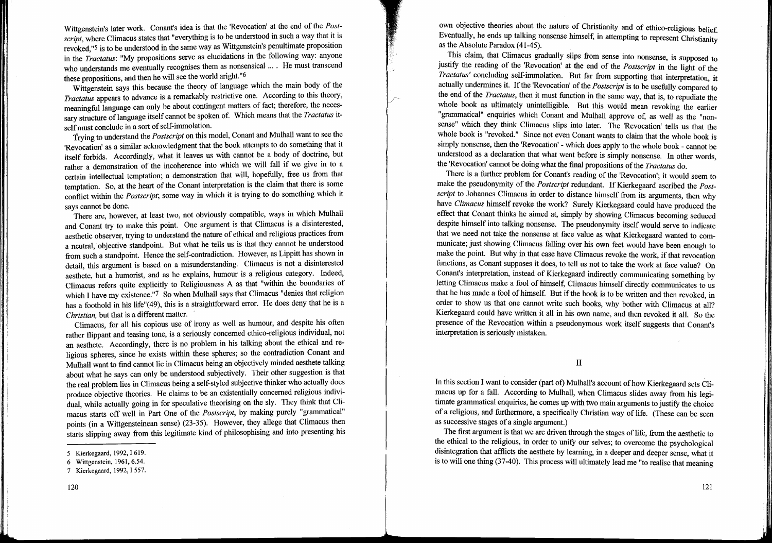Wittgenstein's later work. Conant's idea is that the 'Revocation' at the end of the *Postscript,* where Climacus states that "everything is to be understood· in such a way that it is revoked,"<sup>5</sup> is to be understood in the same way as Wittgenstein's penultimate proposition in the *Tractatus:* "My propositions serve as elucidations in the following way: anyone who understands me eventually recognises them as nonsensical .... He must transcend these propositions, and then he will see the world aright."6

Wittgenstein says this because the theory of language which the main body of the *Tractatus* appears to advance is a remarkably restrictive one. According to this theory, meaningful language can only be about contingent matters of fact; therefore, the necessary structure oflanguage itself cannot be spoken of. Which means that the *Tractatus* itself must conclude in a sort of self-immolation.

trying to understand the *Postscript* on this model, Conant and Mulhall want to see the 'Revocation' as a similar acknowledgment that the book attempts to do something that it itself forbids. Accordingly, what it leaves us with cannot be a body of doctrine, but rather a demonstration of the incoherence into which we will fall if we give in to a certain intellectual temptation; a demonstration that will, hopefully, free us from that temptation. So, at the heart of the Conant interpretation is the claim that there is some conflict within the *Postscript;* some way in which it is trying to do something which it says cannot be done.

There are, however, at least two, not obviously compatible, ways in which Mulhall and Conant try to make this point. One argument is that Climacus is a disinterested, aesthetic observer, trying to understand the nature of ethical and religious practices from a neutral, objective standpoint. But what he tells us is that they cannot be understood from such a standpoint. Hence the self-contradiction. However, as Lippitt has shown in detail, this argument is based on a misunderstanding. Climacus is not a disinterested aesthete, but a humorist, and as he explains, humour is a religious category. Indeed, Climacus refers quite explicitly to Religiousness A as that "within the boundaries of which I have my existence."7 So when Mulhall says that Climacus "denies that religion has a foothold in his life"(49), this is a straightforward error. He does deny that he is a *Christian,* but that is a different matter.

Climacus, for all his copious use of irony as well as humour, and despite his often rather flippant and teasing tone, is a seriously concerned ethico-religious individual, not an aesthete. Accordingly, there is no problem in his talking about the ethical and religious spheres, since he exists within these spheres; so the contradiction Conant and Mulhall want to find cannot lie in Climacus being an objectively minded aesthete talking about what he says can only be understood subjectively. Their other suggestion is that the real problem lies in Climacus being a self-styled subjective thinker who actually does produce objective theories. He claims to be an existentially concerned religious individual, while actually going in for speculative theorising on the sly. They think that Climacus starts off well in Part One of the *Postscript,* by making purely "grammatical" points (in a Wittgensteinean sense) (23-35). However, they allege that Climacus then starts slipping away from this legitimate kind of philosophising and into presenting his own objective theories about the nature of Christianity and of ethico-religious belief. Eventually, he ends up talking nonsense himself, in attempting to represent Christianity as the Absolute Paradox (41-45).

This claim, that Climacus gradually slips from sense into nonsense, is supposed to justify the reading of the 'Revocation' at the end of the *Postscript* in the light of the *Tractatus'* concluding self-immolation. But far from supporting that interpretation, it actually undermines it. If the 'Revocation' of the *Postscript* is to be usefully compared to the end of the *Tractatus,* then it must function in the same way, that is, to repudiate the whole book as ultimately unintelligible. But this would mean revoking the earlier "grammatical" enquiries which Conant and Mulhall approve of, as well as the "nonsense" which they think Climacus slips into later. The 'Revocation' tells us that the whole book is "revoked." Since not even Conant wants to claim that the whole book is simply nonsense, then the 'Revocation' - which does apply to the whole book - cannot be understood as a declaration that what went before is simply nonsense. In other words the 'Revocation' cannot be doing what the final propositions of the *Tractatus* do.

There is a further problem for Conant's reading of the 'Revocation'; it would seem to make the pseudonymity of the *Postscript* redundant. If Kierkegaard ascribed the *Postscript* to Johannes Climacus in order to distance himself from its arguments, then why have *Climacus* himself revoke the work? Surely Kierkegaard could have produced the effect that Conant thinks he aimed at, simply by showing Climacus becoming seduced despite himself into talking nonsense. The pseudonymity itself would serve to indicate that we need not take the nonsense at face value as what Kierkegaard wanted to communicate; just showing Climacus falling over his own feet would have been enough to make the point. But why in that case have Climacus revoke the work, if that revocation functions, as Conant supposes it does, to tell us not to take the work at face value? On Conant's interpretation, instead of Kierkegaard indirectly communicating something by letting Climacus make a fool of himself, Climacus himself directly communicates to us that he has made a fool of himself. But if the book is to be written and then revoked, in order to show us that one cannot write such books, why bother with Climacus at all? Kierkegaard could have written it all in his own name, and then revoked it all. So the presence of the Revocation within a pseudonymous work itself suggests that Conant's interpretation is seriously mistaken.

II

In this section I want to consider (part of) Mulhall's account of how Kierkegaard sets Climacus up for a fall. According to Mulhall, when Climacus slides away from his legitimate grammatical enquiries, he comes up with two main arguments to justify the choice of a religious, and furthermore, a specifically Christian way of life. (These can be seen as successive stages of a single argument.)

The first argument is that we are driven through the stages of life, from the aesthetic to the ethical to the religious, in order to unify our selves; to overcome the psychological disintegration that afflicts the aesthete by leaming, in a deeper and deeper sense, what it is to will one thing (37-40). This process will ultimately lead me "to realise that meaning

<sup>5</sup> Kierkegaard, 1992, I 619.

<sup>6</sup> Wittgenstein, 1961,6.54.

<sup>7</sup> Kierkegaard, 1992, I 557.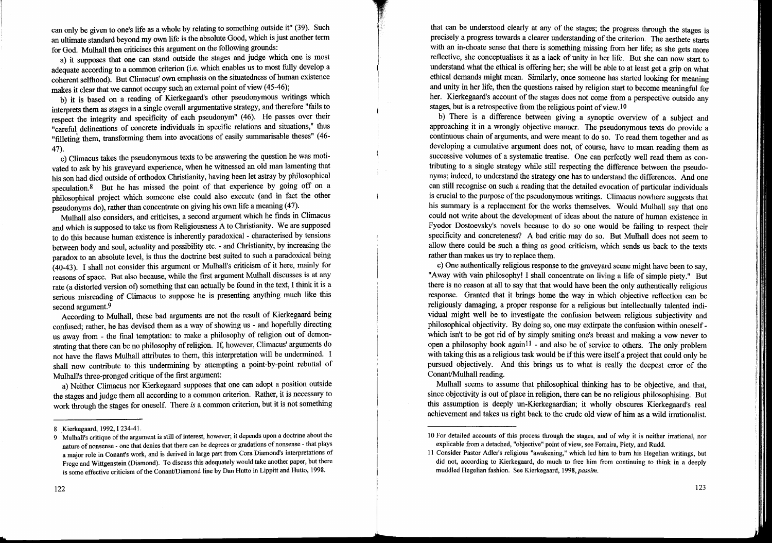can only be given to one's life as a whole by relating to something outside it" (39). Such an ultimate standard beyond my own life is the absolute Good, which is just another term for God. Mulhall then criticises this argument on the following grounds:

a) it supposes that one can stand outside the stages and judge which one is most adequate according to a common criterion (i.e. which enables us to most fully develop a coherent selfhood). But Climacus' own emphasis on the situatedness of human existence makes it clear that we cannot occupy such an external point of view (45-46);

b) it is based on a reading of Kierkegaard's other pseudonymous writings which interprets them as stages in a single overall argumentative strategy, and therefore "fails to respect the integrity and specificity of each pseudonym" (46). He passes over their "careful delineations of concrete individuals in specific relations and situations," thus "filleting them, transforming them into avocations of easily summarisable theses" (46- 47).

c) Climacus takes the pseudonymous texts to be answering the question he was motivated to ask by his graveyard experience, when he witnessed an old man lamenting that his son had died outside of orthodox Christianity, having been let astray by philosophical speculation.<sup>8</sup> But he has missed the point of that experience by going off on a philosophical project which someone else could also execute (and in fact the other pseudonyms do), rather than concentrate on giving his own life a meaning (47).

Mulhall also considers, and criticises, a second argument which he finds in Climacus and which is supposed to take us from Religiousness A to Christianity. Weare supposed to do this because human existence is inherently paradoxical - characterised by tensions between body and soul, actuality and possibility etc. - and Christianity, by increasing the paradox to an absolute level, is thus the doctrine best suited to such a paradoxical being (40-43). I shall not consider this argument or Mulhall's criticism of it here, mainly for reasons of space. But also because, while the first argument Mulhall discusses is at any rate (a distorted version ot) something that can actually be found in the text, I think it is a serious misreading of Climacus to suppose he is presenting anything much like this second argument.<sup>9</sup>

According to Mulhall, these bad arguments are not the result of Kierkegaard being confused; rather, he has devised them as a way of showing us - and hopefully directing us away from - the final temptation: to make a philosophy of religion out of demonstrating that there can be no philosophy ofreligion. If, however, Climacus' arguments do not have the flaws Mulhall attributes to them, this interpretation will be undermined. I shall now contribute to this undermining by attempting a point-by-point rebuttal of Mulhall's three-pronged critique of the first argument:

a) Neither Climacus nor Kierkegaard supposes that one can adopt a position outside the stages and judge them all according to a common criterion. Rather, it is necessary to work through the stages for oneself. There *is* a common criterion, but it is not something that can be understood clearly at any of the stages; the progress through the stages is precisely a progress towards a clearer understanding of the criterion. The aesthete starts with an in-choate sense that there is something missing from her life; as she gets more reflective, she conceptualises it as a lack of unity in her life. But she can now start to understand what the ethical is offering her; she will be able to at least get a grip on what ethical demands might mean. Similarly, once someone has started looking for meaning and unity in her life, then the questions raised by religion start to become meaningful for her. Kierkegaard's account of the stages does not come from a perspective outside any stages, but is a retrospective from the religious point of view.<sup>10</sup>

b) There is a difference between giving a synoptic overview of a subject and approaching it in a wrongly objective manner. The pseudonymous texts do provide a continuous chain of arguments, and were meant to do so. To read them together and as developing a cumulative argument does not, of course, have to mean reading them as successive volumes of a systematic treatise. One can perfectly well read them as contributing to a single strategy while still respecting the difference between the pseudonyms; indeed, to understand the strategy one has to understand the differences. And one can still recognise on such a reading that the detailed evocation of particular individuals is crucial to the purpose of the pseudonymous writings. Climacus nowhere suggests that his summary is a replacement for the works themselves. Would Mulhall say that one could not write about the development of ideas about the nature of human existence in Fyodor Dostoevsky's novels because to do so one would be failing to respect their specificity and concreteness? A bad critic may do so. But Mulhall does not seem to allow there could be such a thing as good criticism, which sends us back to the texts rather than makes us try to replace them.

c) One authentically religious response to the graveyard scene might have been to say, "Away with vain philosophy! I shall concentrate on living a life of simple piety." But there is no reason at all to say that that would have been the only authentically religious response. Granted that it brings home the way in which objective reflection can be religiously damaging, a proper response for a religious but intellectually talented individual might well be to investigate the confusion between religious subjectivity and philosophical objectivity. By doing so, one may extirpate the confusion within oneselfwhich isn't to be got rid of by simply smiting one's breast and making a vow never to open a philosophy book again<sup>11</sup> - and also be of service to others. The only problem with taking this as a religious task would be if this were itself a project that could only be pursued objectively. And this brings us to what is really the deepest error of the Conant/Mulhall reading.

Mulhall seems to assume that philosophical thinking has to be objective, and that, since objectivity is out of place in religion, there can be no religious philosophising. But this assumption is deeply un-Kierkegaardian; it wholly obscures Kierkegaard's real achievement and takes us right back to the crude old view of him as a wild irrationalist.

<sup>8</sup> Kierkegaard, 1992,1234-41.

<sup>9</sup> Mulhall's critique ofthe argument is still of interest, however; it depends upon a doctrine about the nature of nonsense - one that denies that there can be degrees or gradations of nonsense - that plays a major role in Conant's work, and is derived in large part from Cora Diamond's interpretations of Frege and Wittgenstein (Diamond). To discuss this adequately would take another paper, but there is some effective criticism of the Conant/Diamond line by Dan Hutto in Lippitt and Hutto, 1998.

<sup>10</sup> For detailed accounts of this process through the stages, and of why it is neither irrational, nor explicable from a detached, "objective" point of view, see Ferraira, Piety, and Rudd.

II Consider Pastor Adler's religious "awakening," which led him to bum his Hegelian writings, but did not, according to Kierkegaard, do much to free him from continuing to think in a deeply muddled Hegelian fashion. See Kierkegaard, *1998,passim.*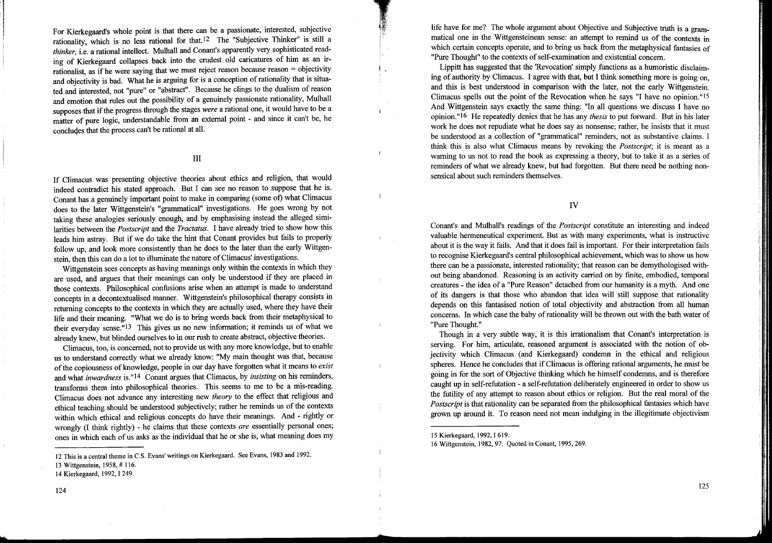For Kierkegaard's whole point is that there can be a passionate, interested, subjective rationality, which is no less rational for that. 12 The "Subjective Thinker" is still a *thinker,* i.e. a rational intellect. Mulhall and Conant's apparently very sophisticated reading of Kierkegaard collapses back into the crudest old caricatures of him as an irrationalist, as if he were saying that we must reject reason because reason = objectivity and objectivity is bad. What he is arguing for is a conception ofrationality that is situated and interested, not "pure" or "abstract". Because he clings to the dualism of reason and emotion that rules out the possibility of a genuinely passionate rationality, Mulhall supposes that if the progress through the stages *were* a rational one, it would have to be a matter of pure logic, understandable from an external point - and since it can't be, he concludes that the process can't be rational at all.

### III

If Climacus was presenting objective theories about ethics and religion, that would indeed contradict his stated approach. But I can see no reason to suppose that he is. Conant has a genuinely important point to make in comparing (some of) what Climacus does to the later Wittgenstein's "grammatical" investigations. He goes wrong by not taking these analogies seriously enough, and by emphasising instead the alleged similarities between the *Postscript* and the *Tractatus.* I have already tried to show how this leads him astray. But if we do take the hint that Conant provides but fails to properly follow up, and look more consistently than he does to the later than the early Wittgenstein, then this can do a lot to illuminate the nature of Climacus' investigations.

Wittgenstein sees concepts as having meanings only within the contexts in which they are used, and argues that their meanings can only be understood if they are placed in those contexts. Philosophical confusions arise when an attempt is made to understand concepts in a decontextualised manner. Wittgenstein's philosophical therapy consists in returning concepts to the contexts in which they are actually used, where they have their life and their meaning. "What we do is to bring words back from their metaphysical to their everyday sense."l3 This gives us no new information; it reminds us of what we already knew, but blinded ourselves to in our rush to create abstract, objective theories.

Climacus, too, is concerned, not to provide us with any more knowledge, but to enable us to understand correctly what we already know: "My main thought was that, because ofthe copiousness of knowledge, people in our day have forgotten what it means to *exist* and what *inwardness* is."14 Conant argues that Climacus, by *insisting* on his reminders, transforms them into philosophical theories. This seems to me to be a mis-reading. Climacus does not advance any interesting new *theory* to the effect that religious and ethical teaching should be understood subjectively; rather he reminds us of the contexts within which ethical and religious concepts do have their meanings. And - rightly or wrongly (I think rightly) - he claims that these contexts *are* essentially personal ones; ones in which each of us asks as the individual that he or she is, what meaning does my

124

life have for me? The whole argument about Objective and Subjective truth is a grammatical one in the Wittgensteinean sense: an attempt to remind us of the contexts in which certain concepts operate, and to bring us back from the metaphysical fantasies of "Pure Thought" to the contexts of self-examination and existential concern.

Lippitt has suggested that the 'Revocation' simply functions as a humoristic disclaiming of authority by Climacus. I agree with that, but I think something more is going on, and this is best understood in comparison with the later, not the early Wittgenstein. Climacus spells out the point of the Revocation when he says "I have no opinion."ls And Wittgenstein says exactly the same thing: "In all questions we discuss I have no opinion."16 He repeatedly denies that he has any *thesis* to put forward. But in his later work he does not repudiate what he does say as nonsense; rather, he insists that it must be understood as a collection of "grammatical" reminders, not as substantive claims. I think this is also what Climacus means by revoking the *Postscript;* it is meant as a warning to us not to read the book as expressing a theory, but to take it as a series of reminders of what we already knew, but had forgotten. But there need be nothing nonsensical about such reminders themselves.

IV

Conant's and Mulhall's readings of the *Postscript* constitute an interesting and indeed valuable hermeneutical experiment. But as with many experiments, what is instructive about it is the way it fails. And that it does fail is important. For their interpretation fails to recognise Kierkegaard's central philosophical achievement, which was to show us how there can be a passionate, interested rationality; that reason can be demythologised without being abandoned. Reasoning is an activity carried on by finite, embodied, temporal creatures - the idea of a "Pure Reason" detached from our humanity is a myth. And one of its dangers is that those who abandon that idea will still suppose that rationality depends on this fantasised notion of total objectivity and abstraction from all human concerns. In which case the baby ofrationality will be thrown out with the bath water of "Pure Thought."

Though in a very subtle way, it is this irrationalism that Conant's interpretation is serving. For him, articulate, reasoned argument is associated with the notion of objectivity which Climacus (and Kierkegaard) condemn in the ethical and religious spheres. Hence he concludes that if Climacus is offering rational arguments, he must be going in for the sort of Objective thinking which he himself condemns, and is therefore caught up in self-refutation - a self-refutation deliberately engineered in order to show us the futility of any attempt to reason about ethics or religion. But the real moral of the *Postscript* is that rationality can be separated from the philosophical fantasies which have grown up around it. To reason need not mean indulging in the illegitimate objectivism

IS Kierkegaard, 1992, I 619.

 $\mathbf{r}$ 

 $\overline{1}$ 

 $\mathcal{L}$ 

 $\mathcal{L}$ 

<sup>12</sup> This is a central theme in C.S. Evans' writings on Kierkegaard. See Evans, 1983 and 1992.

l3 Wittgenstein, 1958, # 116.

<sup>14</sup> Kierkegaard, 1992, I 249.

<sup>16</sup> Wittgenstein, 1982,97. Quoted in Conant, 1995,269.